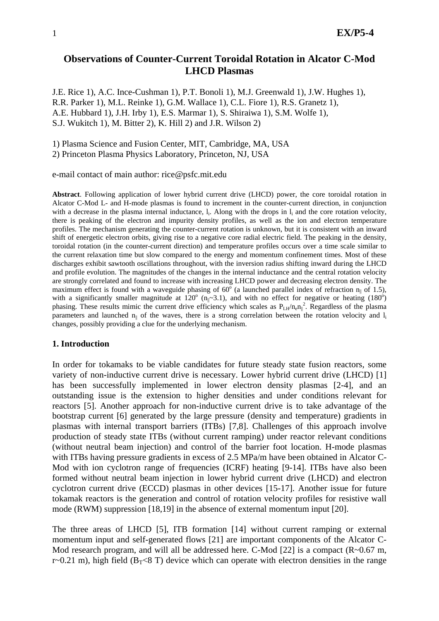# **Observations of Counter-Current Toroidal Rotation in Alcator C-Mod LHCD Plasmas**

J.E. Rice 1), A.C. Ince-Cushman 1), P.T. Bonoli 1), M.J. Greenwald 1), J.W. Hughes 1), R.R. Parker 1), M.L. Reinke 1), G.M. Wallace 1), C.L. Fiore 1), R.S. Granetz 1), A.E. Hubbard 1), J.H. Irby 1), E.S. Marmar 1), S. Shiraiwa 1), S.M. Wolfe 1), S.J. Wukitch 1), M. Bitter 2), K. Hill 2) and J.R. Wilson 2)

1) Plasma Science and Fusion Center, MIT, Cambridge, MA, USA

2) Princeton Plasma Physics Laboratory, Princeton, NJ, USA

e-mail contact of main author: rice@psfc.mit.edu

**Abstract**. Following application of lower hybrid current drive (LHCD) power, the core toroidal rotation in Alcator C-Mod L- and H-mode plasmas is found to increment in the counter-current direction, in conjunction with a decrease in the plasma internal inductance,  $l_i$ . Along with the drops in  $l_i$  and the core rotation velocity, there is peaking of the electron and impurity density profiles, as well as the ion and electron temperature profiles. The mechanism generating the counter-current rotation is unknown, but it is consistent with an inward shift of energetic electron orbits, giving rise to a negative core radial electric field. The peaking in the density, toroidal rotation (in the counter-current direction) and temperature profiles occurs over a time scale similar to the current relaxation time but slow compared to the energy and momentum confinement times. Most of these discharges exhibit sawtooth oscillations throughout, with the inversion radius shifting inward during the LHCD and profile evolution. The magnitudes of the changes in the internal inductance and the central rotation velocity are strongly correlated and found to increase with increasing LHCD power and decreasing electron density. The maximum effect is found with a waveguide phasing of  $60^{\circ}$  (a launched parallel index of refraction  $n_{\parallel}$  of 1.5), with a significantly smaller magnitude at  $120^{\circ}$  (n<sub>||</sub>~3.1), and with no effect for negative or heating (180<sup>o</sup>) phasing. These results mimic the current drive efficiency which scales as  $P_{LH}/n_{e}n_{\parallel}^{2}$ . Regardless of the plasma parameters and launched  $n_{\parallel}$  of the waves, there is a strong correlation between the rotation velocity and  $l_i$ changes, possibly providing a clue for the underlying mechanism.

## **1. Introduction**

In order for tokamaks to be viable candidates for future steady state fusion reactors, some variety of non-inductive current drive is necessary. Lower hybrid current drive (LHCD) [1] has been successfully implemented in lower electron density plasmas [2-4], and an outstanding issue is the extension to higher densities and under conditions relevant for reactors [5]. Another approach for non-inductive current drive is to take advantage of the bootstrap current [6] generated by the large pressure (density and temperature) gradients in plasmas with internal transport barriers (ITBs) [7,8]. Challenges of this approach involve production of steady state ITBs (without current ramping) under reactor relevant conditions (without neutral beam injection) and control of the barrier foot location. H-mode plasmas with ITBs having pressure gradients in excess of 2.5 MPa/m have been obtained in Alcator C-Mod with ion cyclotron range of frequencies (ICRF) heating [9-14]. ITBs have also been formed without neutral beam injection in lower hybrid current drive (LHCD) and electron cyclotron current drive (ECCD) plasmas in other devices [15-17]. Another issue for future tokamak reactors is the generation and control of rotation velocity profiles for resistive wall mode (RWM) suppression [18,19] in the absence of external momentum input [20].

The three areas of LHCD [5], ITB formation [14] without current ramping or external momentum input and self-generated flows [21] are important components of the Alcator C-Mod research program, and will all be addressed here. C-Mod [22] is a compact  $(R~0.67 \text{ m}$ , r $\sim$ 0.21 m), high field (B<sub>T</sub> $\lt$ 8 T) device which can operate with electron densities in the range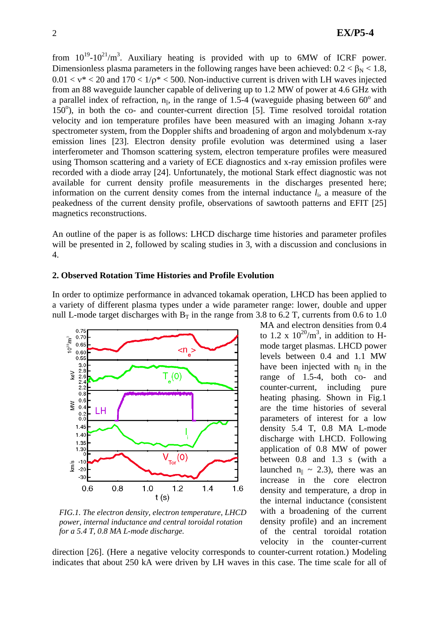from  $10^{19}$ - $10^{21}/m^3$ . Auxiliary heating is provided with up to 6MW of ICRF power. Dimensionless plasma parameters in the following ranges have been achieved:  $0.2 < \beta_{\rm N} < 1.8$ ,  $0.01 < v^* < 20$  and  $170 < 1/\rho^* < 500$ . Non-inductive current is driven with LH waves injected from an 88 waveguide launcher capable of delivering up to 1.2 MW of power at 4.6 GHz with a parallel index of refraction,  $n_{\parallel}$ , in the range of 1.5-4 (waveguide phasing between 60<sup>o</sup> and 150°), in both the co- and counter-current direction [5]. Time resolved toroidal rotation velocity and ion temperature profiles have been measured with an imaging Johann x-ray spectrometer system, from the Doppler shifts and broadening of argon and molybdenum x-ray emission lines [23]. Electron density profile evolution was determined using a laser interferometer and Thomson scattering system, electron temperature profiles were measured using Thomson scattering and a variety of ECE diagnostics and x-ray emission profiles were recorded with a diode array [24]. Unfortunately, the motional Stark effect diagnostic was not available for current density profile measurements in the discharges presented here; information on the current density comes from the internal inductance  $l_i$ , a measure of the peakedness of the current density profile, observations of sawtooth patterns and EFIT [25] magnetics reconstructions.

An outline of the paper is as follows: LHCD discharge time histories and parameter profiles will be presented in 2, followed by scaling studies in 3, with a discussion and conclusions in 4.

## **2. Observed Rotation Time Histories and Profile Evolution**

In order to optimize performance in advanced tokamak operation, LHCD has been applied to a variety of different plasma types under a wide parameter range: lower, double and upper null L-mode target discharges with  $B_T$  in the range from 3.8 to 6.2 T, currents from 0.6 to 1.0



*FIG.1. The electron density, electron temperature, LHCD power, internal inductance and central toroidal rotation for a 5.4 T, 0.8 MA L-mode discharge.* 

MA and electron densities from 0.4 to 1.2 x  $10^{20}/m^3$ , in addition to Hmode target plasmas. LHCD power levels between 0.4 and 1.1 MW have been injected with  $n_{\parallel}$  in the range of 1.5-4, both co- and counter-current, including pure heating phasing. Shown in Fig.1 are the time histories of several parameters of interest for a low density 5.4 T, 0.8 MA L-mode discharge with LHCD. Following application of 0.8 MW of power between 0.8 and 1.3 s (with a launched  $n_{\parallel} \sim 2.3$ ), there was an increase in the core electron density and temperature, a drop in the internal inductance (consistent with a broadening of the current density profile) and an increment of the central toroidal rotation velocity in the counter-current

direction [26]. (Here a negative velocity corresponds to counter-current rotation.) Modeling indicates that about 250 kA were driven by LH waves in this case. The time scale for all of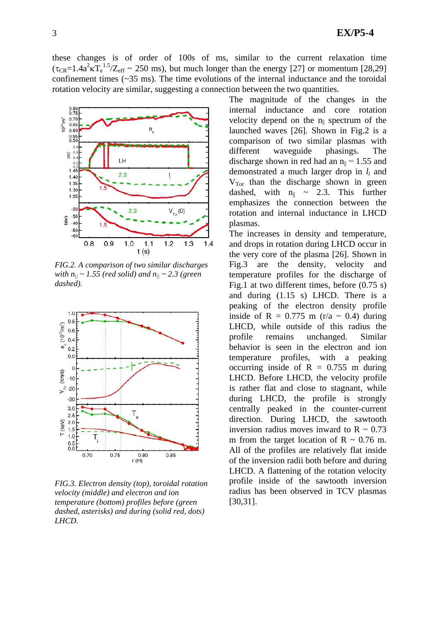these changes is of order of 100s of ms, similar to the current relaxation time  $(\tau_{CR} = 1.4a^2 \kappa T_e^{1.5}/Z_{eff} \sim 250 \text{ ms})$ , but much longer than the energy [27] or momentum [28,29] confinement times  $(\sim 35 \text{ ms})$ . The time evolutions of the internal inductance and the toroidal rotation velocity are similar, suggesting a connection between the two quantities.



*FIG.2. A comparison of two similar discharges with*  $n_{\parallel} \sim 1.55$  *(red solid) and*  $n_{\parallel} \sim 2.3$  *(green*) *dashed).* 



*FIG.3. Electron density (top), toroidal rotation velocity (middle) and electron and ion temperature (bottom) profiles before (green dashed, asterisks) and during (solid red, dots) LHCD.* 

The magnitude of the changes in the internal inductance and core rotation velocity depend on the  $n_{\parallel}$  spectrum of the launched waves [26]. Shown in Fig.2 is a comparison of two similar plasmas with different waveguide phasings. The discharge shown in red had an  $n_{\parallel} \sim 1.55$  and demonstrated a much larger drop in *l*i and  $V<sub>Tor</sub>$  than the discharge shown in green dashed, with  $n_{\parallel} \sim 2.3$ . This further emphasizes the connection between the rotation and internal inductance in LHCD plasmas.

The increases in density and temperature, and drops in rotation during LHCD occur in the very core of the plasma [26]. Shown in Fig.3 are the density, velocity and temperature profiles for the discharge of Fig.1 at two different times, before (0.75 s) and during (1.15 s) LHCD. There is a peaking of the electron density profile inside of R =  $0.775$  m (r/a  $\sim$  0.4) during LHCD, while outside of this radius the profile remains unchanged. Similar behavior is seen in the electron and ion temperature profiles, with a peaking occurring inside of  $R = 0.755$  m during LHCD. Before LHCD, the velocity profile is rather flat and close to stagnant, while during LHCD, the profile is strongly centrally peaked in the counter-current direction. During LHCD, the sawtooth inversion radius moves inward to  $R \sim 0.73$ m from the target location of  $R \sim 0.76$  m. All of the profiles are relatively flat inside of the inversion radii both before and during LHCD. A flattening of the rotation velocity profile inside of the sawtooth inversion radius has been observed in TCV plasmas [30,31].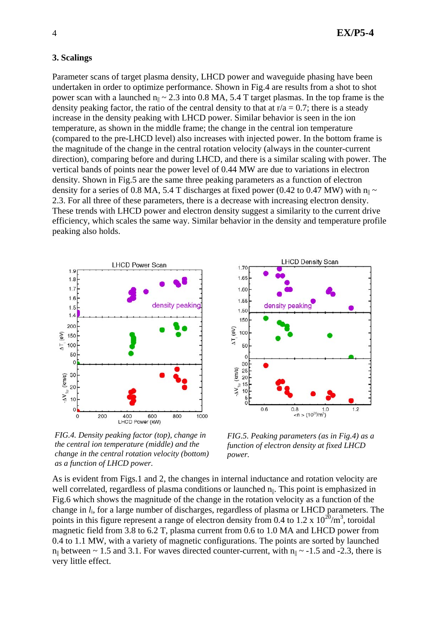## **3. Scalings**

Parameter scans of target plasma density, LHCD power and waveguide phasing have been undertaken in order to optimize performance. Shown in Fig.4 are results from a shot to shot power scan with a launched  $n_{\parallel} \sim 2.3$  into 0.8 MA, 5.4 T target plasmas. In the top frame is the density peaking factor, the ratio of the central density to that at  $r/a = 0.7$ ; there is a steady increase in the density peaking with LHCD power. Similar behavior is seen in the ion temperature, as shown in the middle frame; the change in the central ion temperature (compared to the pre-LHCD level) also increases with injected power. In the bottom frame is the magnitude of the change in the central rotation velocity (always in the counter-current direction), comparing before and during LHCD, and there is a similar scaling with power. The vertical bands of points near the power level of 0.44 MW are due to variations in electron density. Shown in Fig.5 are the same three peaking parameters as a function of electron density for a series of 0.8 MA, 5.4 T discharges at fixed power (0.42 to 0.47 MW) with  $n_{\parallel} \sim$ 2.3. For all three of these parameters, there is a decrease with increasing electron density. These trends with LHCD power and electron density suggest a similarity to the current drive efficiency, which scales the same way. Similar behavior in the density and temperature profile peaking also holds.





*FIG.4. Density peaking factor (top), change in the central ion temperature (middle) and the change in the central rotation velocity (bottom) as a function of LHCD power.* 

*FIG.5. Peaking parameters (as in Fig.4) as a function of electron density at fixed LHCD power.* 

As is evident from Figs.1 and 2, the changes in internal inductance and rotation velocity are well correlated, regardless of plasma conditions or launched  $n_{\parallel}$ . This point is emphasized in Fig.6 which shows the magnitude of the change in the rotation velocity as a function of the change in *l*i, for a large number of discharges, regardless of plasma or LHCD parameters. The points in this figure represent a range of electron density from 0.4 to 1.2 x  $10^{20}/m^3$ , toroidal magnetic field from 3.8 to 6.2 T, plasma current from 0.6 to 1.0 MA and LHCD power from 0.4 to 1.1 MW, with a variety of magnetic configurations. The points are sorted by launched  $n_{\parallel}$  between ~ 1.5 and 3.1. For waves directed counter-current, with  $n_{\parallel}$  ~ -1.5 and -2.3, there is very little effect.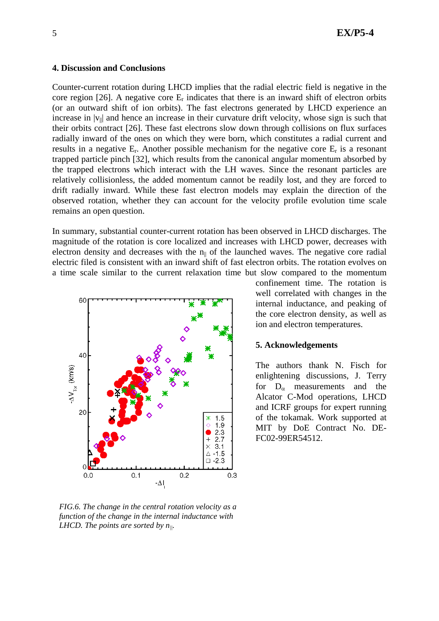## 5 **EX/P5-4**

#### **4. Discussion and Conclusions**

Counter-current rotation during LHCD implies that the radial electric field is negative in the core region [26]. A negative core  $E_r$  indicates that there is an inward shift of electron orbits (or an outward shift of ion orbits). The fast electrons generated by LHCD experience an increase in  $|v_{\parallel}|$  and hence an increase in their curvature drift velocity, whose sign is such that their orbits contract [26]. These fast electrons slow down through collisions on flux surfaces radially inward of the ones on which they were born, which constitutes a radial current and results in a negative  $E_r$ . Another possible mechanism for the negative core  $E_r$  is a resonant trapped particle pinch [32], which results from the canonical angular momentum absorbed by the trapped electrons which interact with the LH waves. Since the resonant particles are relatively collisionless, the added momentum cannot be readily lost, and they are forced to drift radially inward. While these fast electron models may explain the direction of the observed rotation, whether they can account for the velocity profile evolution time scale remains an open question.

In summary, substantial counter-current rotation has been observed in LHCD discharges. The magnitude of the rotation is core localized and increases with LHCD power, decreases with electron density and decreases with the  $n_{\parallel}$  of the launched waves. The negative core radial electric filed is consistent with an inward shift of fast electron orbits. The rotation evolves on a time scale similar to the current relaxation time but slow compared to the momentum



*FIG.6. The change in the central rotation velocity as a function of the change in the internal inductance with LHCD. The points are sorted by n||.* 

confinement time. The rotation is well correlated with changes in the internal inductance, and peaking of the core electron density, as well as ion and electron temperatures.

## **5. Acknowledgements**

The authors thank N. Fisch for enlightening discussions, J. Terry for  $D_{\alpha}$  measurements and the Alcator C-Mod operations, LHCD and ICRF groups for expert running of the tokamak. Work supported at MIT by DoE Contract No. DE-FC02-99ER54512.